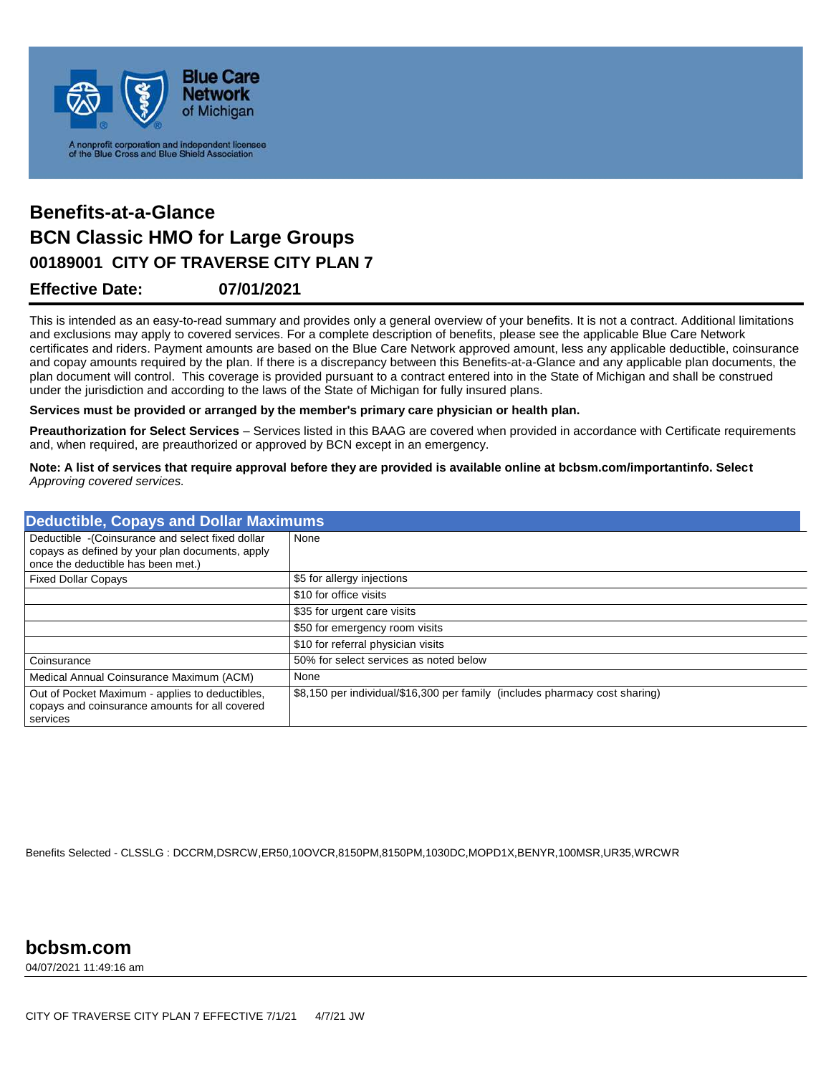

## **Effective Date: 07/01/2021 00189001 CITY OF TRAVERSE CITY PLAN 7 Benefits-at-a-Glance BCN Classic HMO for Large Groups**

This is intended as an easy-to-read summary and provides only a general overview of your benefits. It is not a contract. Additional limitations and exclusions may apply to covered services. For a complete description of benefits, please see the applicable Blue Care Network certificates and riders. Payment amounts are based on the Blue Care Network approved amount, less any applicable deductible, coinsurance and copay amounts required by the plan. If there is a discrepancy between this Benefits-at-a-Glance and any applicable plan documents, the plan document will control. This coverage is provided pursuant to a contract entered into in the State of Michigan and shall be construed under the jurisdiction and according to the laws of the State of Michigan for fully insured plans.

**Services must be provided or arranged by the member's primary care physician or health plan.**

**Preauthorization for Select Services** – Services listed in this BAAG are covered when provided in accordance with Certificate requirements and, when required, are preauthorized or approved by BCN except in an emergency.

**Note: A list of services that require approval before they are provided is available online at bcbsm.com/importantinfo. Select** *Approving covered services.*

| <b>Deductible, Copays and Dollar Maximums</b>                                                                                              |                                                                             |
|--------------------------------------------------------------------------------------------------------------------------------------------|-----------------------------------------------------------------------------|
| Deductible - (Coinsurance and select fixed dollar<br>copays as defined by your plan documents, apply<br>once the deductible has been met.) | None                                                                        |
| <b>Fixed Dollar Copays</b>                                                                                                                 | \$5 for allergy injections                                                  |
|                                                                                                                                            | \$10 for office visits                                                      |
|                                                                                                                                            | \$35 for urgent care visits                                                 |
|                                                                                                                                            | \$50 for emergency room visits                                              |
|                                                                                                                                            | \$10 for referral physician visits                                          |
| Coinsurance                                                                                                                                | 50% for select services as noted below                                      |
| Medical Annual Coinsurance Maximum (ACM)                                                                                                   | None                                                                        |
| Out of Pocket Maximum - applies to deductibles,<br>copays and coinsurance amounts for all covered<br>services                              | \$8,150 per individual/\$16,300 per family (includes pharmacy cost sharing) |

Benefits Selected - CLSSLG : DCCRM,DSRCW,ER50,10OVCR,8150PM,8150PM,1030DC,MOPD1X,BENYR,100MSR,UR35,WRCWR

04/07/2021 11:49:16 am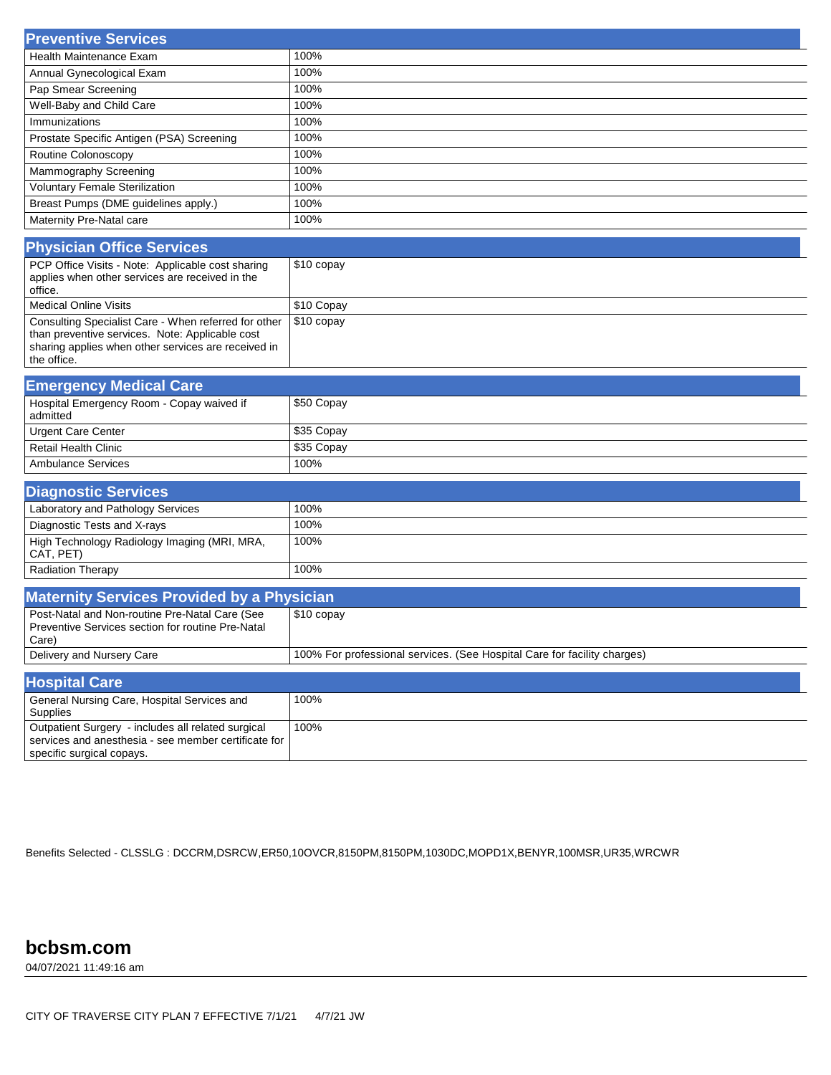| <b>Preventive Services</b>                |      |
|-------------------------------------------|------|
| <b>Health Maintenance Exam</b>            | 100% |
| Annual Gynecological Exam                 | 100% |
| Pap Smear Screening                       | 100% |
| Well-Baby and Child Care                  | 100% |
| Immunizations                             | 100% |
| Prostate Specific Antigen (PSA) Screening | 100% |
| Routine Colonoscopy                       | 100% |
| Mammography Screening                     | 100% |
| <b>Voluntary Female Sterilization</b>     | 100% |
| Breast Pumps (DME guidelines apply.)      | 100% |
| Maternity Pre-Natal care                  | 100% |

| <b>Physician Office Services</b>                                                                                                                                              |                          |
|-------------------------------------------------------------------------------------------------------------------------------------------------------------------------------|--------------------------|
| PCP Office Visits - Note: Applicable cost sharing<br>applies when other services are received in the<br>office.                                                               | $$10$ copay              |
| Medical Online Visits                                                                                                                                                         | \$10 Copay               |
| Consulting Specialist Care - When referred for other<br>than preventive services. Note: Applicable cost<br>sharing applies when other services are received in<br>the office. | $\frac{1}{2}$ \$10 copay |

| <b>Emergency Medical Care</b>                         |            |
|-------------------------------------------------------|------------|
| Hospital Emergency Room - Copay waived if<br>admitted | \$50 Copay |
| Urgent Care Center                                    | \$35 Copay |
| <b>Retail Health Clinic</b>                           | \$35 Copay |
| Ambulance Services                                    | 100%       |

| <b>Diagnostic Services</b>                                |        |
|-----------------------------------------------------------|--------|
| Laboratory and Pathology Services                         | 100%   |
| Diagnostic Tests and X-rays                               | 100%   |
| High Technology Radiology Imaging (MRI, MRA,<br>CAT, PET) | ່ 100% |
| <b>Radiation Therapy</b>                                  | 100%   |

| <b>Maternity Services Provided by a Physician</b>                                                                                       |                                                                          |
|-----------------------------------------------------------------------------------------------------------------------------------------|--------------------------------------------------------------------------|
| Post-Natal and Non-routine Pre-Natal Care (See<br>Preventive Services section for routine Pre-Natal<br>Care)                            | $$10$ copay                                                              |
| Delivery and Nursery Care                                                                                                               | 100% For professional services. (See Hospital Care for facility charges) |
| <b>Hospital Care</b>                                                                                                                    |                                                                          |
| General Nursing Care, Hospital Services and<br><b>Supplies</b>                                                                          | 100%                                                                     |
| Outpatient Surgery - includes all related surgical<br>services and anesthesia - see member certificate for<br>specific surgical copays. | 100%                                                                     |

Benefits Selected - CLSSLG : DCCRM,DSRCW,ER50,10OVCR,8150PM,8150PM,1030DC,MOPD1X,BENYR,100MSR,UR35,WRCWR

## **bcbsm.com**

04/07/2021 11:49:16 am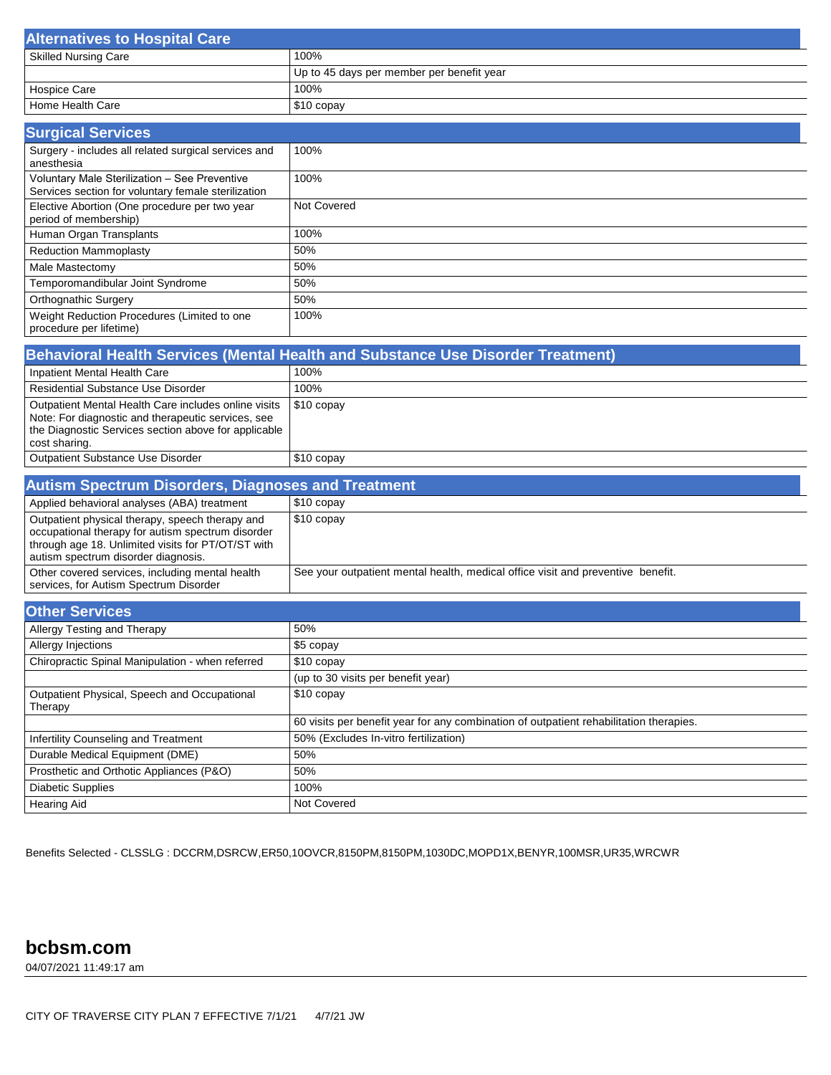| <b>Alternatives to Hospital Care</b> |                                           |
|--------------------------------------|-------------------------------------------|
| <sup>1</sup> Skilled Nursing Care    | 100%                                      |
|                                      | Up to 45 days per member per benefit year |
| Hospice Care                         | 100%                                      |
| Home Health Care                     | \$10 copay                                |

| <b>Surgical Services</b>                                                                             |             |
|------------------------------------------------------------------------------------------------------|-------------|
| Surgery - includes all related surgical services and<br>anesthesia                                   | 100%        |
| Voluntary Male Sterilization - See Preventive<br>Services section for voluntary female sterilization | 100%        |
| Elective Abortion (One procedure per two year<br>period of membership)                               | Not Covered |
| Human Organ Transplants                                                                              | 100%        |
| <b>Reduction Mammoplasty</b>                                                                         | 50%         |
| Male Mastectomy                                                                                      | 50%         |
| Temporomandibular Joint Syndrome                                                                     | 50%         |
| <b>Orthognathic Surgery</b>                                                                          | 50%         |
| Weight Reduction Procedures (Limited to one<br>procedure per lifetime)                               | 100%        |

| Behavioral Health Services (Mental Health and Substance Use Disorder Treatment)                                                                                                     |             |  |
|-------------------------------------------------------------------------------------------------------------------------------------------------------------------------------------|-------------|--|
| Inpatient Mental Health Care                                                                                                                                                        | 100%        |  |
| <b>Residential Substance Use Disorder</b>                                                                                                                                           | 100%        |  |
| Outpatient Mental Health Care includes online visits<br>Note: For diagnostic and therapeutic services, see<br>the Diagnostic Services section above for applicable<br>cost sharing. | $$10$ copay |  |
| <b>Outpatient Substance Use Disorder</b>                                                                                                                                            | $$10$ copay |  |

| <b>Autism Spectrum Disorders, Diagnoses and Treatment,</b>                                                                                                                                        |                                                                                 |  |
|---------------------------------------------------------------------------------------------------------------------------------------------------------------------------------------------------|---------------------------------------------------------------------------------|--|
| Applied behavioral analyses (ABA) treatment                                                                                                                                                       | $$10$ copay                                                                     |  |
| Outpatient physical therapy, speech therapy and<br>occupational therapy for autism spectrum disorder<br>through age 18. Unlimited visits for PT/OT/ST with<br>autism spectrum disorder diagnosis. | $$10$ copay                                                                     |  |
| Other covered services, including mental health<br>services, for Autism Spectrum Disorder                                                                                                         | See your outpatient mental health, medical office visit and preventive benefit. |  |

| <b>Other Services</b>                                   |                                                                                        |
|---------------------------------------------------------|----------------------------------------------------------------------------------------|
| Allergy Testing and Therapy                             | 50%                                                                                    |
| Allergy Injections                                      | $$5$ copay                                                                             |
| Chiropractic Spinal Manipulation - when referred        | \$10 copay                                                                             |
|                                                         | (up to 30 visits per benefit year)                                                     |
| Outpatient Physical, Speech and Occupational<br>Therapy | \$10 copay                                                                             |
|                                                         | 60 visits per benefit year for any combination of outpatient rehabilitation therapies. |
| Infertility Counseling and Treatment                    | 50% (Excludes In-vitro fertilization)                                                  |
| Durable Medical Equipment (DME)                         | 50%                                                                                    |
| Prosthetic and Orthotic Appliances (P&O)                | 50%                                                                                    |
| Diabetic Supplies                                       | 100%                                                                                   |
| Hearing Aid                                             | Not Covered                                                                            |

Benefits Selected - CLSSLG : DCCRM,DSRCW,ER50,10OVCR,8150PM,8150PM,1030DC,MOPD1X,BENYR,100MSR,UR35,WRCWR

## **bcbsm.com**

04/07/2021 11:49:17 am